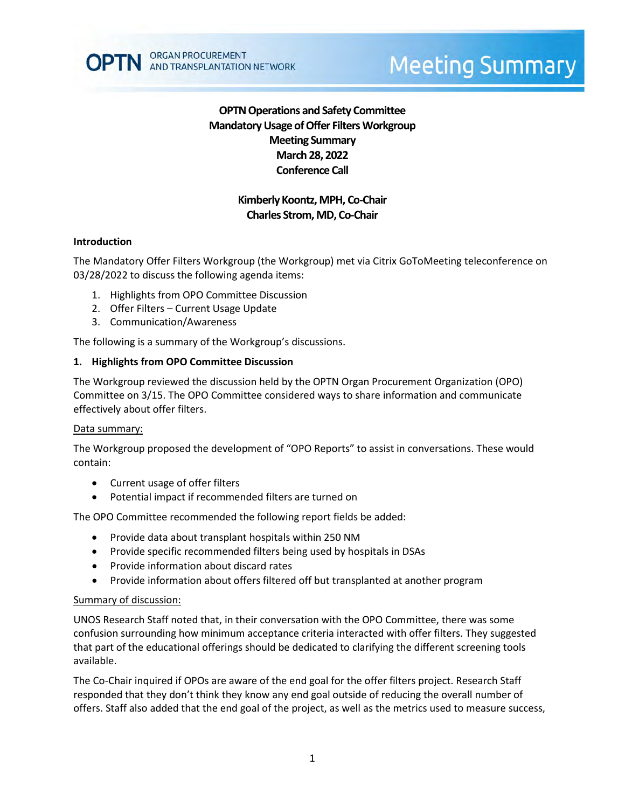

# **OPTN Operations and Safety Committee Mandatory Usage of Offer Filters Workgroup Meeting Summary March 28, 2022 Conference Call**

## **Kimberly Koontz, MPH, Co-Chair Charles Strom, MD, Co-Chair**

#### **Introduction**

The Mandatory Offer Filters Workgroup (the Workgroup) met via Citrix GoToMeeting teleconference on 03/28/2022 to discuss the following agenda items:

- 1. Highlights from OPO Committee Discussion
- 2. Offer Filters Current Usage Update
- 3. Communication/Awareness

The following is a summary of the Workgroup's discussions.

#### **1. Highlights from OPO Committee Discussion**

The Workgroup reviewed the discussion held by the OPTN Organ Procurement Organization (OPO) Committee on 3/15. The OPO Committee considered ways to share information and communicate effectively about offer filters.

#### Data summary:

The Workgroup proposed the development of "OPO Reports" to assist in conversations. These would contain:

- Current usage of offer filters
- Potential impact if recommended filters are turned on

The OPO Committee recommended the following report fields be added:

- Provide data about transplant hospitals within 250 NM
- Provide specific recommended filters being used by hospitals in DSAs
- Provide information about discard rates
- Provide information about offers filtered off but transplanted at another program

#### Summary of discussion:

UNOS Research Staff noted that, in their conversation with the OPO Committee, there was some confusion surrounding how minimum acceptance criteria interacted with offer filters. They suggested that part of the educational offerings should be dedicated to clarifying the different screening tools available.

The Co-Chair inquired if OPOs are aware of the end goal for the offer filters project. Research Staff responded that they don't think they know any end goal outside of reducing the overall number of offers. Staff also added that the end goal of the project, as well as the metrics used to measure success,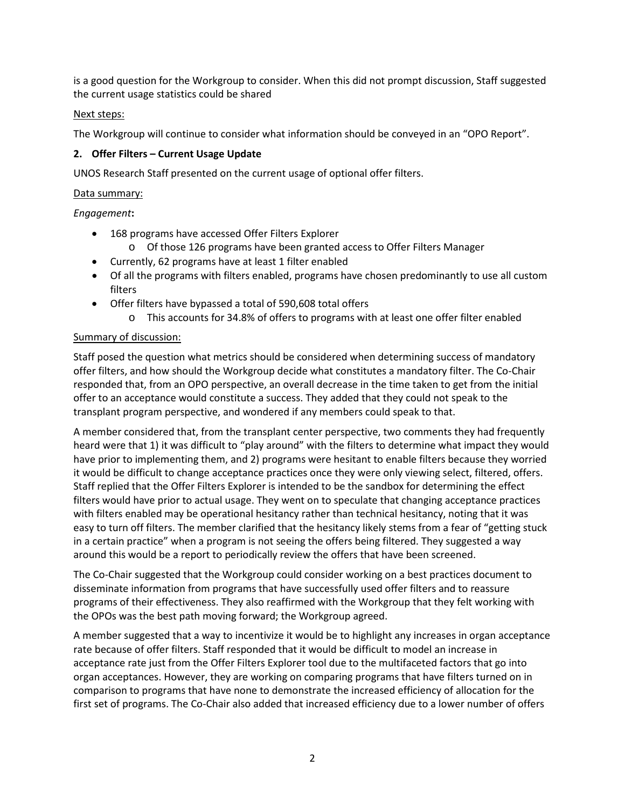is a good question for the Workgroup to consider. When this did not prompt discussion, Staff suggested the current usage statistics could be shared

## Next steps:

The Workgroup will continue to consider what information should be conveyed in an "OPO Report".

## **2. Offer Filters – Current Usage Update**

UNOS Research Staff presented on the current usage of optional offer filters.

#### Data summary:

## *Engagement***:**

- 168 programs have accessed Offer Filters Explorer
	- o Of those 126 programs have been granted access to Offer Filters Manager
- Currently, 62 programs have at least 1 filter enabled
- Of all the programs with filters enabled, programs have chosen predominantly to use all custom filters
- Offer filters have bypassed a total of 590,608 total offers
	- o This accounts for 34.8% of offers to programs with at least one offer filter enabled

#### Summary of discussion:

Staff posed the question what metrics should be considered when determining success of mandatory offer filters, and how should the Workgroup decide what constitutes a mandatory filter. The Co-Chair responded that, from an OPO perspective, an overall decrease in the time taken to get from the initial offer to an acceptance would constitute a success. They added that they could not speak to the transplant program perspective, and wondered if any members could speak to that.

A member considered that, from the transplant center perspective, two comments they had frequently heard were that 1) it was difficult to "play around" with the filters to determine what impact they would have prior to implementing them, and 2) programs were hesitant to enable filters because they worried it would be difficult to change acceptance practices once they were only viewing select, filtered, offers. Staff replied that the Offer Filters Explorer is intended to be the sandbox for determining the effect filters would have prior to actual usage. They went on to speculate that changing acceptance practices with filters enabled may be operational hesitancy rather than technical hesitancy, noting that it was easy to turn off filters. The member clarified that the hesitancy likely stems from a fear of "getting stuck in a certain practice" when a program is not seeing the offers being filtered. They suggested a way around this would be a report to periodically review the offers that have been screened.

The Co-Chair suggested that the Workgroup could consider working on a best practices document to disseminate information from programs that have successfully used offer filters and to reassure programs of their effectiveness. They also reaffirmed with the Workgroup that they felt working with the OPOs was the best path moving forward; the Workgroup agreed.

A member suggested that a way to incentivize it would be to highlight any increases in organ acceptance rate because of offer filters. Staff responded that it would be difficult to model an increase in acceptance rate just from the Offer Filters Explorer tool due to the multifaceted factors that go into organ acceptances. However, they are working on comparing programs that have filters turned on in comparison to programs that have none to demonstrate the increased efficiency of allocation for the first set of programs. The Co-Chair also added that increased efficiency due to a lower number of offers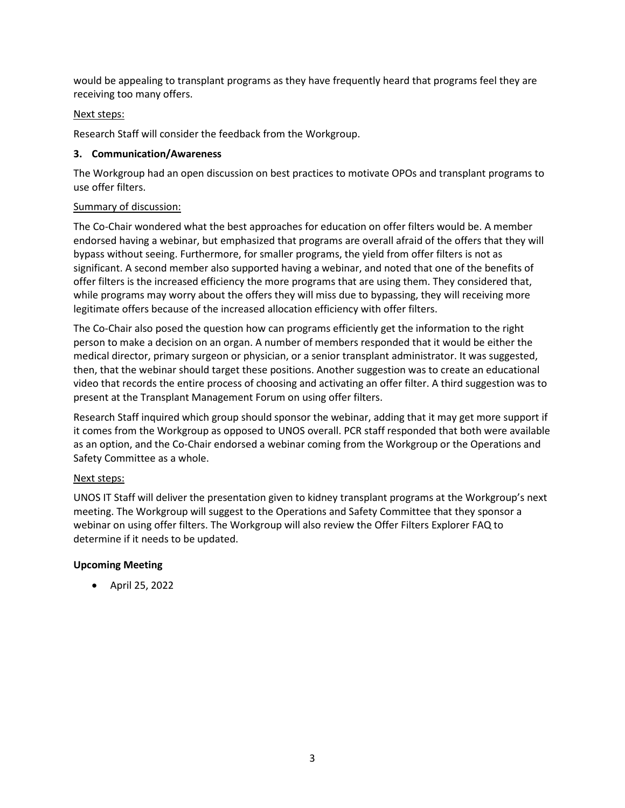would be appealing to transplant programs as they have frequently heard that programs feel they are receiving too many offers.

## Next steps:

Research Staff will consider the feedback from the Workgroup.

## **3. Communication/Awareness**

The Workgroup had an open discussion on best practices to motivate OPOs and transplant programs to use offer filters.

## Summary of discussion:

The Co-Chair wondered what the best approaches for education on offer filters would be. A member endorsed having a webinar, but emphasized that programs are overall afraid of the offers that they will bypass without seeing. Furthermore, for smaller programs, the yield from offer filters is not as significant. A second member also supported having a webinar, and noted that one of the benefits of offer filters is the increased efficiency the more programs that are using them. They considered that, while programs may worry about the offers they will miss due to bypassing, they will receiving more legitimate offers because of the increased allocation efficiency with offer filters.

The Co-Chair also posed the question how can programs efficiently get the information to the right person to make a decision on an organ. A number of members responded that it would be either the medical director, primary surgeon or physician, or a senior transplant administrator. It was suggested, then, that the webinar should target these positions. Another suggestion was to create an educational video that records the entire process of choosing and activating an offer filter. A third suggestion was to present at the Transplant Management Forum on using offer filters.

Research Staff inquired which group should sponsor the webinar, adding that it may get more support if it comes from the Workgroup as opposed to UNOS overall. PCR staff responded that both were available as an option, and the Co-Chair endorsed a webinar coming from the Workgroup or the Operations and Safety Committee as a whole.

## Next steps:

UNOS IT Staff will deliver the presentation given to kidney transplant programs at the Workgroup's next meeting. The Workgroup will suggest to the Operations and Safety Committee that they sponsor a webinar on using offer filters. The Workgroup will also review the Offer Filters Explorer FAQ to determine if it needs to be updated.

## **Upcoming Meeting**

• April 25, 2022